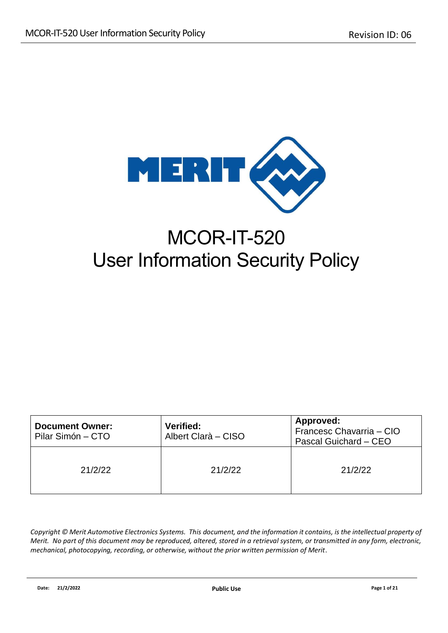

# MCOR-IT-520 User Information Security Policy

| <b>Document Owner:</b><br>Pilar Simón – CTO | <b>Verified:</b><br>Albert Clarà - CISO | Approved:<br>Francesc Chavarria - CIO<br>Pascal Guichard - CEO |
|---------------------------------------------|-----------------------------------------|----------------------------------------------------------------|
| 21/2/22                                     | 21/2/22                                 | 21/2/22                                                        |

Copyright © Merit Automotive Electronics Systems. This document, and the information it contains, is the intellectual property of *Merit. No part of this document may be reproduced, altered, stored in a retrieval system, or transmitted in any form, electronic, mechanical, photocopying, recording, or otherwise, without the prior written permission of Merit*.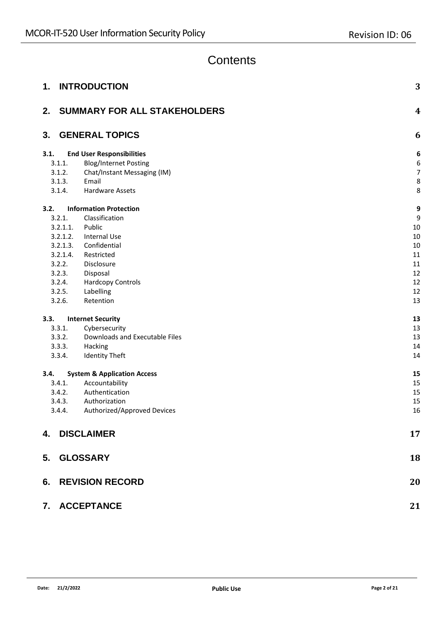### **Contents**

| <b>INTRODUCTION</b><br>1.                      | 3                |
|------------------------------------------------|------------------|
| <b>SUMMARY FOR ALL STAKEHOLDERS</b><br>2.      | $\boldsymbol{4}$ |
| <b>GENERAL TOPICS</b><br>3.                    | 6                |
| 3.1.<br><b>End User Responsibilities</b>       | 6                |
| <b>Blog/Internet Posting</b><br>3.1.1.         | 6                |
| 3.1.2.<br>Chat/Instant Messaging (IM)          | 7                |
| 3.1.3.<br>Email                                | 8                |
| 3.1.4.<br><b>Hardware Assets</b>               | 8                |
| <b>Information Protection</b><br>3.2.          | 9                |
| 3.2.1.<br>Classification                       | 9                |
| 3.2.1.1.<br>Public                             | 10               |
| 3.2.1.2.<br>Internal Use                       | 10               |
| 3.2.1.3.<br>Confidential                       | 10               |
| 3.2.1.4.<br>Restricted                         | 11               |
| 3.2.2.<br>Disclosure                           | 11               |
| 3.2.3.<br>Disposal                             | 12               |
| 3.2.4.<br><b>Hardcopy Controls</b>             | 12               |
| 3.2.5.<br>Labelling<br>3.2.6.<br>Retention     | 12<br>13         |
|                                                |                  |
| 3.3.<br><b>Internet Security</b>               | 13               |
| 3.3.1.<br>Cybersecurity                        | 13               |
| Downloads and Executable Files<br>3.3.2.       | 13               |
| 3.3.3.<br>Hacking                              | 14               |
| 3.3.4.<br><b>Identity Theft</b>                | 14               |
| <b>System &amp; Application Access</b><br>3.4. | 15               |
| Accountability<br>3.4.1.                       | 15               |
| Authentication<br>3.4.2.                       | 15               |
| 3.4.3.<br>Authorization                        | 15               |
| Authorized/Approved Devices<br>3.4.4.          | 16               |
| 4. DISCLAIMER                                  | 17               |
| <b>GLOSSARY</b><br>5.                          | 18               |
| <b>6. REVISION RECORD</b>                      | 20               |
| 7. ACCEPTANCE                                  | 21               |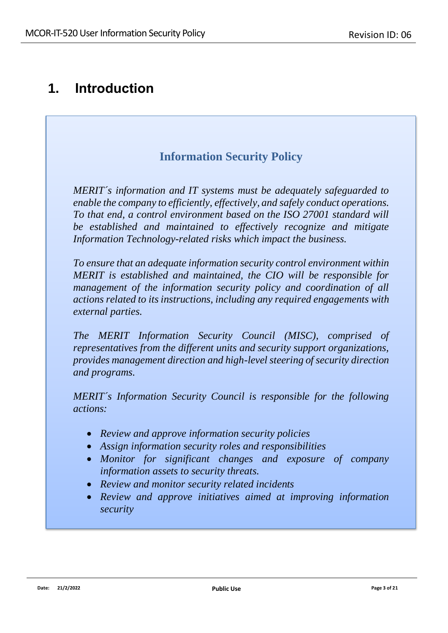### <span id="page-2-0"></span>**1. Introduction**

### **Information Security Policy**

*MERIT´s information and IT systems must be adequately safeguarded to enable the company to efficiently, effectively, and safely conduct operations. To that end, a control environment based on the ISO 27001 standard will be established and maintained to effectively recognize and mitigate Information Technology-related risks which impact the business.*

*To ensure that an adequate information security control environment within MERIT is established and maintained, the CIO will be responsible for management of the information security policy and coordination of all actions related to its instructions, including any required engagements with external parties.*

*The MERIT Information Security Council (MISC), comprised of representatives from the different units and security support organizations, provides management direction and high-level steering of security direction and programs.*

*MERIT´s Information Security Council is responsible for the following actions:*

- *Review and approve information security policies*
- *Assign information security roles and responsibilities*
- *Monitor for significant changes and exposure of company information assets to security threats.*
- *Review and monitor security related incidents*
- *Review and approve initiatives aimed at improving information security*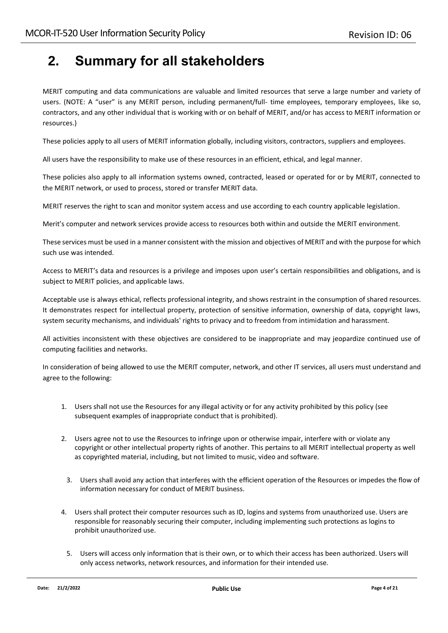## <span id="page-3-0"></span>**2. Summary for all stakeholders**

MERIT computing and data communications are valuable and limited resources that serve a large number and variety of users. (NOTE: A "user" is any MERIT person, including permanent/full- time employees, temporary employees, like so, contractors, and any other individual that is working with or on behalf of MERIT, and/or has access to MERIT information or resources.)

These policies apply to all users of MERIT information globally, including visitors, contractors, suppliers and employees.

All users have the responsibility to make use of these resources in an efficient, ethical, and legal manner.

These policies also apply to all information systems owned, contracted, leased or operated for or by MERIT, connected to the MERIT network, or used to process, stored or transfer MERIT data.

MERIT reserves the right to scan and monitor system access and use according to each country applicable legislation.

Merit's computer and network services provide access to resources both within and outside the MERIT environment.

These services must be used in a manner consistent with the mission and objectives of MERIT and with the purpose for which such use was intended.

Access to MERIT's data and resources is a privilege and imposes upon user's certain responsibilities and obligations, and is subject to MERIT policies, and applicable laws.

Acceptable use is always ethical, reflects professional integrity, and shows restraint in the consumption of shared resources. It demonstrates respect for intellectual property, protection of sensitive information, ownership of data, copyright laws, system security mechanisms, and individuals' rights to privacy and to freedom from intimidation and harassment.

All activities inconsistent with these objectives are considered to be inappropriate and may jeopardize continued use of computing facilities and networks.

In consideration of being allowed to use the MERIT computer, network, and other IT services, all users must understand and agree to the following:

- 1. Users shall not use the Resources for any illegal activity or for any activity prohibited by this policy (see subsequent examples of inappropriate conduct that is prohibited).
- 2. Users agree not to use the Resources to infringe upon or otherwise impair, interfere with or violate any copyright or other intellectual property rights of another. This pertains to all MERIT intellectual property as well as copyrighted material, including, but not limited to music, video and software.
	- 3. Users shall avoid any action that interferes with the efficient operation of the Resources or impedes the flow of information necessary for conduct of MERIT business.
- 4. Users shall protect their computer resources such as ID, logins and systems from unauthorized use. Users are responsible for reasonably securing their computer, including implementing such protections as logins to prohibit unauthorized use.
	- 5. Users will access only information that is their own, or to which their access has been authorized. Users will only access networks, network resources, and information for their intended use.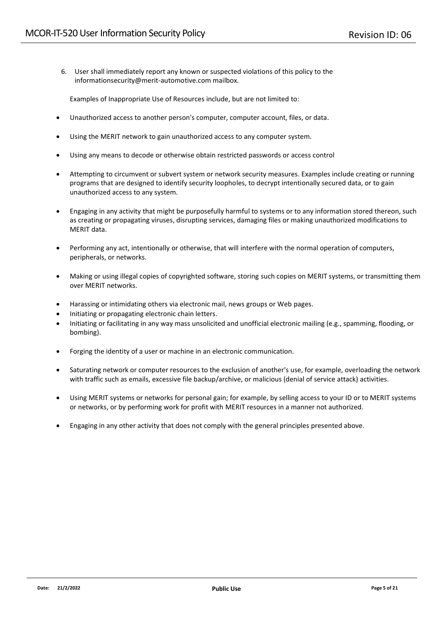6. User shall immediately report any known or suspected violations of this policy to the [informationsecurity@merit-automotive.com m](mailto:informationsecurity@merit-automotive.com)ailbox.

Examples of Inappropriate Use of Resources include, but are not limited to:

- Unauthorized access to another person's computer, computer account, files, or data.
- Using the MERIT network to gain unauthorized access to any computer system.
- Using any means to decode or otherwise obtain restricted passwords or access control
- Attempting to circumvent or subvert system or network security measures. Examples include creating or running programs that are designed to identify security loopholes, to decrypt intentionally secured data, or to gain unauthorized access to any system.
- Engaging in any activity that might be purposefully harmful to systems or to any information stored thereon, such as creating or propagating viruses, disrupting services, damaging files or making unauthorized modifications to MERIT data.
- Performing any act, intentionally or otherwise, that will interfere with the normal operation of computers, peripherals, or networks.
- Making or using illegal copies of copyrighted software, storing such copies on MERIT systems, or transmitting them over MERIT networks.
- Harassing or intimidating others via electronic mail, news groups or Web pages.
- Initiating or propagating electronic chain letters.
- Initiating or facilitating in any way mass unsolicited and unofficial electronic mailing (e.g., spamming, flooding, or bombing).
- Forging the identity of a user or machine in an electronic communication.
- Saturating network or computer resources to the exclusion of another's use, for example, overloading the network with traffic such as emails, excessive file backup/archive, or malicious (denial of service attack) activities.
- Using MERIT systems or networks for personal gain; for example, by selling access to your ID or to MERIT systems or networks, or by performing work for profit with MERIT resources in a manner not authorized.
- Engaging in any other activity that does not comply with the general principles presented above.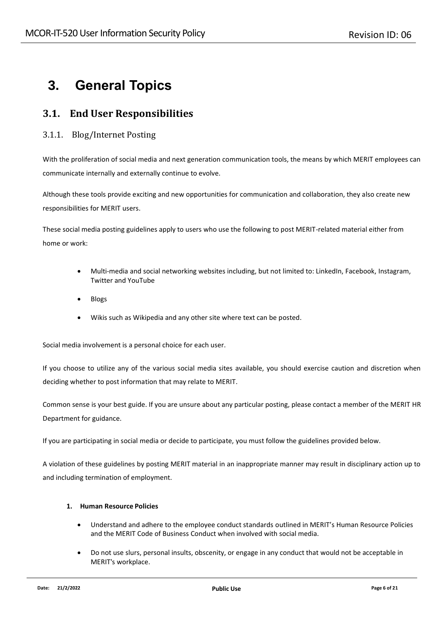## <span id="page-5-0"></span>**3. General Topics**

### <span id="page-5-1"></span>**3.1. End User Responsibilities**

#### <span id="page-5-2"></span>3.1.1. Blog/Internet Posting

With the proliferation of social media and next generation communication tools, the means by which MERIT employees can communicate internally and externally continue to evolve.

Although these tools provide exciting and new opportunities for communication and collaboration, they also create new responsibilities for MERIT users.

These social media posting guidelines apply to users who use the following to post MERIT-related material either from home or work:

- Multi-media and social networking websites including, but not limited to: LinkedIn, Facebook, Instagram, Twitter and YouTube
- Blogs
- Wikis such as Wikipedia and any other site where text can be posted.

Social media involvement is a personal choice for each user.

If you choose to utilize any of the various social media sites available, you should exercise caution and discretion when deciding whether to post information that may relate to MERIT.

Common sense is your best guide. If you are unsure about any particular posting, please contact a member of the MERIT HR Department for guidance.

If you are participating in social media or decide to participate, you must follow the guidelines provided below.

A violation of these guidelines by posting MERIT material in an inappropriate manner may result in disciplinary action up to and including termination of employment.

#### **1. Human Resource Policies**

- Understand and adhere to the employee conduct standards outlined in MERIT's Human Resource Policies and the MERIT Code of Business Conduct when involved with social media.
- Do not use slurs, personal insults, obscenity, or engage in any conduct that would not be acceptable in MERIT's workplace.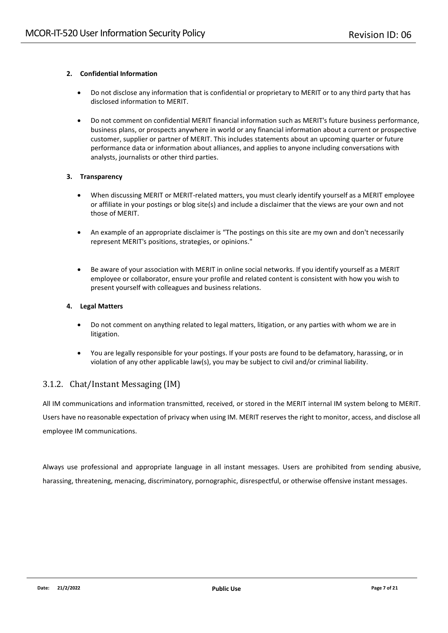#### **2. Confidential Information**

- Do not disclose any information that is confidential or proprietary to MERIT or to any third party that has disclosed information to MERIT.
- Do not comment on confidential MERIT financial information such as MERIT's future business performance, business plans, or prospects anywhere in world or any financial information about a current or prospective customer, supplier or partner of MERIT. This includes statements about an upcoming quarter or future performance data or information about alliances, and applies to anyone including conversations with analysts, journalists or other third parties.

#### **3. Transparency**

- When discussing MERIT or MERIT-related matters, you must clearly identify yourself as a MERIT employee or affiliate in your postings or blog site(s) and include a disclaimer that the views are your own and not those of MERIT.
- An example of an appropriate disclaimer is "The postings on this site are my own and don't necessarily represent MERIT's positions, strategies, or opinions."
- Be aware of your association with MERIT in online social networks. If you identify yourself as a MERIT employee or collaborator, ensure your profile and related content is consistent with how you wish to present yourself with colleagues and business relations.

#### **4. Legal Matters**

- Do not comment on anything related to legal matters, litigation, or any parties with whom we are in litigation.
- You are legally responsible for your postings. If your posts are found to be defamatory, harassing, or in violation of any other applicable law(s), you may be subject to civil and/or criminal liability.

#### <span id="page-6-0"></span>3.1.2. Chat/Instant Messaging (IM)

All IM communications and information transmitted, received, or stored in the MERIT internal IM system belong to MERIT. Users have no reasonable expectation of privacy when using IM. MERIT reserves the right to monitor, access, and disclose all employee IM communications.

Always use professional and appropriate language in all instant messages. Users are prohibited from sending abusive, harassing, threatening, menacing, discriminatory, pornographic, disrespectful, or otherwise offensive instant messages.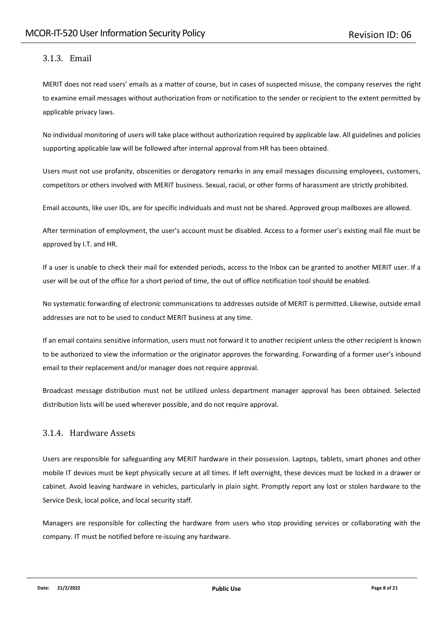### <span id="page-7-0"></span>3.1.3. Email

MERIT does not read users' emails as a matter of course, but in cases of suspected misuse, the company reserves the right to examine email messages without authorization from or notification to the sender or recipient to the extent permitted by applicable privacy laws.

No individual monitoring of users will take place without authorization required by applicable law. All guidelines and policies supporting applicable law will be followed after internal approval from HR has been obtained.

Users must not use profanity, obscenities or derogatory remarks in any email messages discussing employees, customers, competitors or others involved with MERIT business. Sexual, racial, or other forms of harassment are strictly prohibited.

Email accounts, like user IDs, are for specific individuals and must not be shared. Approved group mailboxes are allowed.

After termination of employment, the user's account must be disabled. Access to a former user's existing mail file must be approved by I.T. and HR.

If a user is unable to check their mail for extended periods, access to the Inbox can be granted to another MERIT user. If a user will be out of the office for a short period of time, the out of office notification tool should be enabled.

No systematic forwarding of electronic communications to addresses outside of MERIT is permitted. Likewise, outside email addresses are not to be used to conduct MERIT business at any time.

If an email contains sensitive information, users must not forward it to another recipient unless the other recipient is known to be authorized to view the information or the originator approves the forwarding. Forwarding of a former user's inbound email to their replacement and/or manager does not require approval.

Broadcast message distribution must not be utilized unless department manager approval has been obtained. Selected distribution lists will be used wherever possible, and do not require approval.

#### <span id="page-7-1"></span>3.1.4. Hardware Assets

Users are responsible for safeguarding any MERIT hardware in their possession. Laptops, tablets, smart phones and other mobile IT devices must be kept physically secure at all times. If left overnight, these devices must be locked in a drawer or cabinet. Avoid leaving hardware in vehicles, particularly in plain sight. Promptly report any lost or stolen hardware to the Service Desk, local police, and local security staff.

Managers are responsible for collecting the hardware from users who stop providing services or collaborating with the company. IT must be notified before re-issuing any hardware.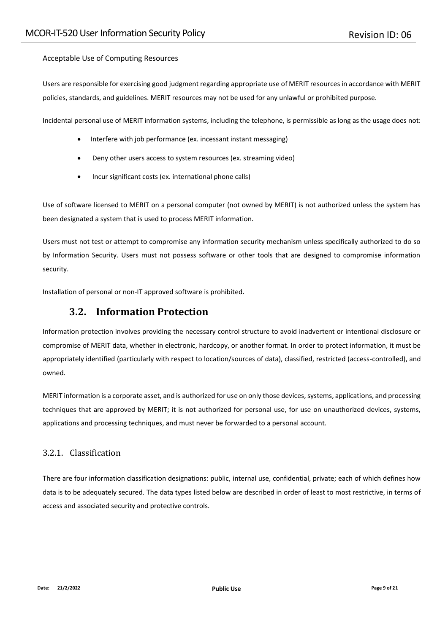#### Acceptable Use of Computing Resources

Users are responsible for exercising good judgment regarding appropriate use of MERIT resources in accordance with MERIT policies, standards, and guidelines. MERIT resources may not be used for any unlawful or prohibited purpose.

Incidental personal use of MERIT information systems, including the telephone, is permissible as long as the usage does not:

- Interfere with job performance (ex. incessant instant messaging)
- Deny other users access to system resources (ex. streaming video)
- Incur significant costs (ex. international phone calls)

Use of software licensed to MERIT on a personal computer (not owned by MERIT) is not authorized unless the system has been designated a system that is used to process MERIT information.

Users must not test or attempt to compromise any information security mechanism unless specifically authorized to do so by Information Security. Users must not possess software or other tools that are designed to compromise information security.

<span id="page-8-0"></span>Installation of personal or non-IT approved software is prohibited.

### **3.2. Information Protection**

Information protection involves providing the necessary control structure to avoid inadvertent or intentional disclosure or compromise of MERIT data, whether in electronic, hardcopy, or another format. In order to protect information, it must be appropriately identified (particularly with respect to location/sources of data), classified, restricted (access-controlled), and owned.

MERIT information is a corporate asset, and is authorized for use on only those devices, systems, applications, and processing techniques that are approved by MERIT; it is not authorized for personal use, for use on unauthorized devices, systems, applications and processing techniques, and must never be forwarded to a personal account.

#### <span id="page-8-1"></span>3.2.1. Classification

There are four information classification designations: public, internal use, confidential, private; each of which defines how data is to be adequately secured. The data types listed below are described in order of least to most restrictive, in terms of access and associated security and protective controls.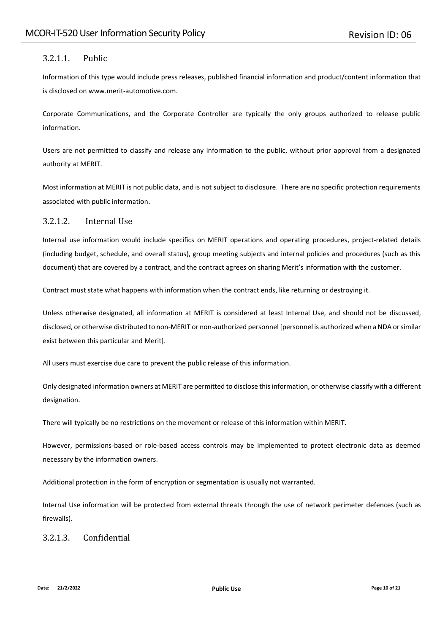#### <span id="page-9-0"></span>3.2.1.1. Public

Information of this type would include press releases, published financial information and product/content information that is disclosed on www.merit-automotive.com.

Corporate Communications, and the Corporate Controller are typically the only groups authorized to release public information.

Users are not permitted to classify and release any information to the public, without prior approval from a designated authority at MERIT.

Most information at MERIT is not public data, and is not subject to disclosure. There are no specific protection requirements associated with public information.

#### <span id="page-9-1"></span>3.2.1.2. Internal Use

Internal use information would include specifics on MERIT operations and operating procedures, project-related details (including budget, schedule, and overall status), group meeting subjects and internal policies and procedures (such as this document) that are covered by a contract, and the contract agrees on sharing Merit's information with the customer.

Contract must state what happens with information when the contract ends, like returning or destroying it.

Unless otherwise designated, all information at MERIT is considered at least Internal Use, and should not be discussed, disclosed, or otherwise distributed to non-MERIT or non-authorized personnel [personnel is authorized when a NDA or similar exist between this particular and Merit].

All users must exercise due care to prevent the public release of this information.

Only designated information owners at MERIT are permitted to disclose this information, or otherwise classify with a different designation.

There will typically be no restrictions on the movement or release of this information within MERIT.

However, permissions-based or role-based access controls may be implemented to protect electronic data as deemed necessary by the information owners.

Additional protection in the form of encryption or segmentation is usually not warranted.

Internal Use information will be protected from external threats through the use of network perimeter defences (such as firewalls).

#### <span id="page-9-2"></span>3.2.1.3. Confidential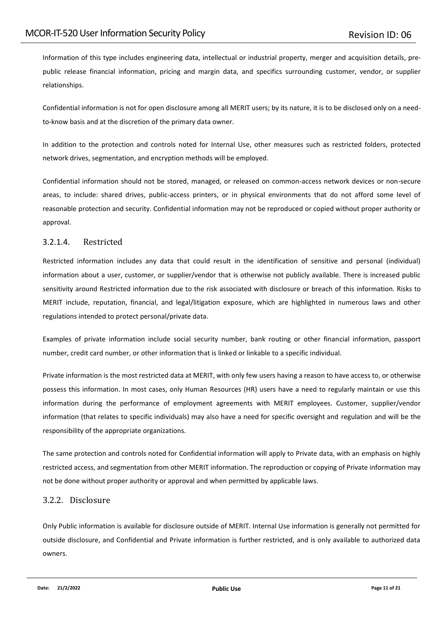Information of this type includes engineering data, intellectual or industrial property, merger and acquisition details, prepublic release financial information, pricing and margin data, and specifics surrounding customer, vendor, or supplier relationships.

Confidential information is not for open disclosure among all MERIT users; by its nature, it is to be disclosed only on a needto-know basis and at the discretion of the primary data owner.

In addition to the protection and controls noted for Internal Use, other measures such as restricted folders, protected network drives, segmentation, and encryption methods will be employed.

Confidential information should not be stored, managed, or released on common-access network devices or non-secure areas, to include: shared drives, public-access printers, or in physical environments that do not afford some level of reasonable protection and security. Confidential information may not be reproduced or copied without proper authority or approval.

#### <span id="page-10-0"></span>3.2.1.4. Restricted

Restricted information includes any data that could result in the identification of sensitive and personal (individual) information about a user, customer, or supplier/vendor that is otherwise not publicly available. There is increased public sensitivity around Restricted information due to the risk associated with disclosure or breach of this information. Risks to MERIT include, reputation, financial, and legal/litigation exposure, which are highlighted in numerous laws and other regulations intended to protect personal/private data.

Examples of private information include social security number, bank routing or other financial information, passport number, credit card number, or other information that is linked or linkable to a specific individual.

Private information is the most restricted data at MERIT, with only few users having a reason to have access to, or otherwise possess this information. In most cases, only Human Resources (HR) users have a need to regularly maintain or use this information during the performance of employment agreements with MERIT employees. Customer, supplier/vendor information (that relates to specific individuals) may also have a need for specific oversight and regulation and will be the responsibility of the appropriate organizations.

The same protection and controls noted for Confidential information will apply to Private data, with an emphasis on highly restricted access, and segmentation from other MERIT information. The reproduction or copying of Private information may not be done without proper authority or approval and when permitted by applicable laws.

#### <span id="page-10-1"></span>3.2.2. Disclosure

Only Public information is available for disclosure outside of MERIT. Internal Use information is generally not permitted for outside disclosure, and Confidential and Private information is further restricted, and is only available to authorized data owners.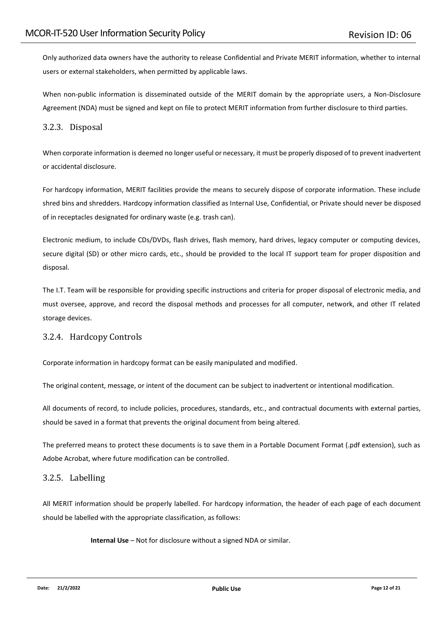Only authorized data owners have the authority to release Confidential and Private MERIT information, whether to internal users or external stakeholders, when permitted by applicable laws.

When non-public information is disseminated outside of the MERIT domain by the appropriate users, a Non-Disclosure Agreement (NDA) must be signed and kept on file to protect MERIT information from further disclosure to third parties.

#### <span id="page-11-0"></span>3.2.3. Disposal

When corporate information is deemed no longer useful or necessary, it must be properly disposed of to prevent inadvertent or accidental disclosure.

For hardcopy information, MERIT facilities provide the means to securely dispose of corporate information. These include shred bins and shredders. Hardcopy information classified as Internal Use, Confidential, or Private should never be disposed of in receptacles designated for ordinary waste (e.g. trash can).

Electronic medium, to include CDs/DVDs, flash drives, flash memory, hard drives, legacy computer or computing devices, secure digital (SD) or other micro cards, etc., should be provided to the local IT support team for proper disposition and disposal.

The I.T. Team will be responsible for providing specific instructions and criteria for proper disposal of electronic media, and must oversee, approve, and record the disposal methods and processes for all computer, network, and other IT related storage devices.

#### <span id="page-11-1"></span>3.2.4. Hardcopy Controls

Corporate information in hardcopy format can be easily manipulated and modified.

The original content, message, or intent of the document can be subject to inadvertent or intentional modification.

All documents of record, to include policies, procedures, standards, etc., and contractual documents with external parties, should be saved in a format that prevents the original document from being altered.

The preferred means to protect these documents is to save them in a Portable Document Format (.pdf extension), such as Adobe Acrobat, where future modification can be controlled.

#### <span id="page-11-2"></span>3.2.5. Labelling

All MERIT information should be properly labelled. For hardcopy information, the header of each page of each document should be labelled with the appropriate classification, as follows:

**Internal Use** – Not for disclosure without a signed NDA or similar.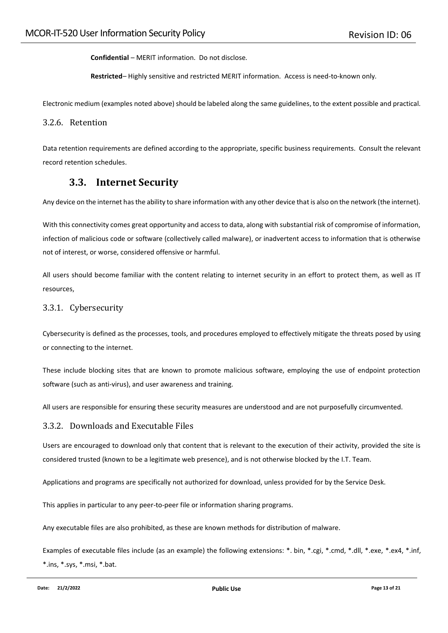**Confidential** *–* MERIT information. Do not disclose*.*

**Restricted***–* Highly sensitive and restricted MERIT information. Access is need-to-known only*.*

Electronic medium (examples noted above) should be labeled along the same guidelines, to the extent possible and practical.

#### <span id="page-12-0"></span>3.2.6. Retention

Data retention requirements are defined according to the appropriate, specific business requirements. Consult the relevant record retention schedules.

### **3.3. Internet Security**

<span id="page-12-1"></span>Any device on the internet has the ability to share information with any other device that is also on the network (the internet).

With this connectivity comes great opportunity and access to data, along with substantial risk of compromise of information, infection of malicious code or software (collectively called malware), or inadvertent access to information that is otherwise not of interest, or worse, considered offensive or harmful.

All users should become familiar with the content relating to internet security in an effort to protect them, as well as IT resources,

#### <span id="page-12-2"></span>3.3.1. Cybersecurity

Cybersecurity is defined as the processes, tools, and procedures employed to effectively mitigate the threats posed by using or connecting to the internet.

These include blocking sites that are known to promote malicious software, employing the use of endpoint protection software (such as anti-virus), and user awareness and training.

All users are responsible for ensuring these security measures are understood and are not purposefully circumvented.

#### <span id="page-12-3"></span>3.3.2. Downloads and Executable Files

Users are encouraged to download only that content that is relevant to the execution of their activity, provided the site is considered trusted (known to be a legitimate web presence), and is not otherwise blocked by the I.T. Team.

Applications and programs are specifically not authorized for download, unless provided for by the Service Desk.

This applies in particular to any peer-to-peer file or information sharing programs.

Any executable files are also prohibited, as these are known methods for distribution of malware.

Examples of executable files include (as an example) the following extensions: \*. bin, \*.cgi, \*.cmd, \*.dll, \*.exe, \*.ex4, \*.inf, \*.ins, \*.sys, \*.msi, \*.bat.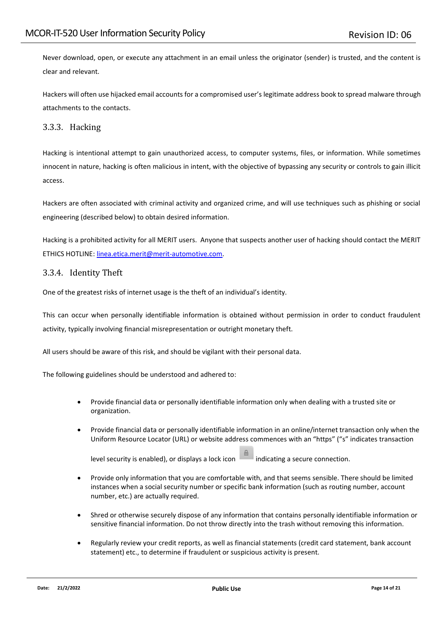Never download, open, or execute any attachment in an email unless the originator (sender) is trusted, and the content is clear and relevant.

Hackers will often use hijacked email accounts for a compromised user's legitimate address book to spread malware through attachments to the contacts.

#### <span id="page-13-0"></span>3.3.3. Hacking

Hacking is intentional attempt to gain unauthorized access, to computer systems, files, or information. While sometimes innocent in nature, hacking is often malicious in intent, with the objective of bypassing any security or controls to gain illicit access.

Hackers are often associated with criminal activity and organized crime, and will use techniques such as phishing or social engineering (described below) to obtain desired information.

Hacking is a prohibited activity for all MERIT users. Anyone that suspects another user of hacking should contact the MERIT ETHICS HOTLINE: [linea.etica.merit@merit-automotive.com.](mailto:linea.etica.merit@merit-automotive.com)

#### <span id="page-13-1"></span>3.3.4. Identity Theft

One of the greatest risks of internet usage is the theft of an individual's identity.

This can occur when personally identifiable information is obtained without permission in order to conduct fraudulent activity, typically involving financial misrepresentation or outright monetary theft.

All users should be aware of this risk, and should be vigilant with their personal data.

The following guidelines should be understood and adhered to:

- Provide financial data or personally identifiable information only when dealing with a trusted site or organization.
- Provide financial data or personally identifiable information in an online/internet transaction only when the Uniform Resource Locator (URL) or website address commences with an "https" ("s" indicates transaction

level security is enabled), or displays a lock icon  $\Box$  indicating a secure connection.

- Provide only information that you are comfortable with, and that seems sensible. There should be limited instances when a social security number or specific bank information (such as routing number, account number, etc.) are actually required.
- Shred or otherwise securely dispose of any information that contains personally identifiable information or sensitive financial information. Do not throw directly into the trash without removing this information.
- Regularly review your credit reports, as well as financial statements (credit card statement, bank account statement) etc., to determine if fraudulent or suspicious activity is present.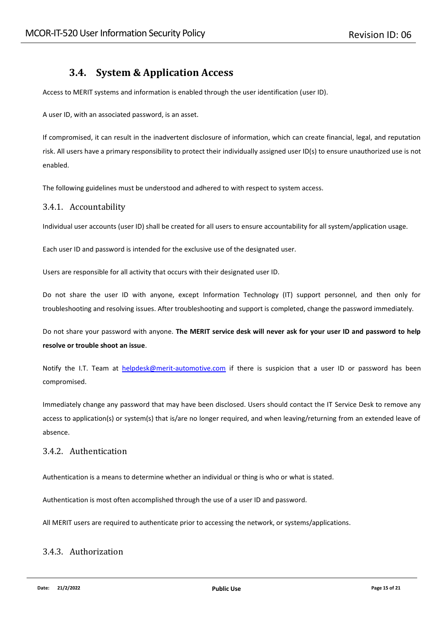### **3.4. System & Application Access**

<span id="page-14-0"></span>Access to MERIT systems and information is enabled through the user identification (user ID).

A user ID, with an associated password, is an asset.

If compromised, it can result in the inadvertent disclosure of information, which can create financial, legal, and reputation risk. All users have a primary responsibility to protect their individually assigned user ID(s) to ensure unauthorized use is not enabled.

The following guidelines must be understood and adhered to with respect to system access.

#### <span id="page-14-1"></span>3.4.1. Accountability

Individual user accounts (user ID) shall be created for all users to ensure accountability for all system/application usage.

Each user ID and password is intended for the exclusive use of the designated user.

Users are responsible for all activity that occurs with their designated user ID.

Do not share the user ID with anyone, except Information Technology (IT) support personnel, and then only for troubleshooting and resolving issues. After troubleshooting and support is completed, change the password immediately.

Do not share your password with anyone. **The MERIT service desk will never ask for your user ID and password to help resolve or trouble shoot an issue**.

Notify the I.T. Team at [helpdesk@merit-automotive.com](https://meritautomotive-my.sharepoint.com/personal/klaudia_jachymiak_merit-automotive_com/Documents/01_Procedury/Procedury%20IT/helpdeskmerites@merit-automotive.com) if there is suspicion that a user ID or password has been compromised.

Immediately change any password that may have been disclosed. Users should contact the IT Service Desk to remove any access to application(s) or system(s) that is/are no longer required, and when leaving/returning from an extended leave of absence.

#### <span id="page-14-2"></span>3.4.2. Authentication

Authentication is a means to determine whether an individual or thing is who or what is stated.

Authentication is most often accomplished through the use of a user ID and password.

All MERIT users are required to authenticate prior to accessing the network, or systems/applications.

#### <span id="page-14-3"></span>3.4.3. Authorization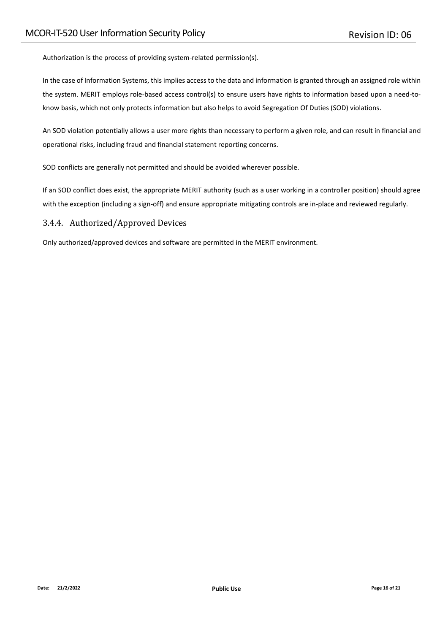Authorization is the process of providing system-related permission(s).

In the case of Information Systems, this implies access to the data and information is granted through an assigned role within the system. MERIT employs role-based access control(s) to ensure users have rights to information based upon a need-toknow basis, which not only protects information but also helps to avoid Segregation Of Duties (SOD) violations.

An SOD violation potentially allows a user more rights than necessary to perform a given role, and can result in financial and operational risks, including fraud and financial statement reporting concerns.

SOD conflicts are generally not permitted and should be avoided wherever possible.

If an SOD conflict does exist, the appropriate MERIT authority (such as a user working in a controller position) should agree with the exception (including a sign-off) and ensure appropriate mitigating controls are in-place and reviewed regularly.

#### <span id="page-15-0"></span>3.4.4. Authorized/Approved Devices

Only authorized/approved devices and software are permitted in the MERIT environment.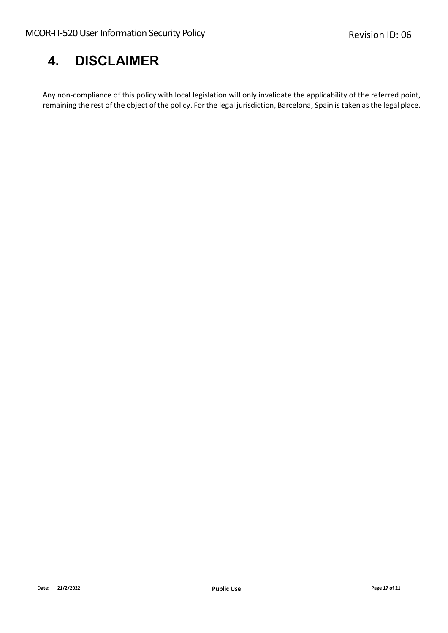## <span id="page-16-0"></span>**4. DISCLAIMER**

Any non-compliance of this policy with local legislation will only invalidate the applicability of the referred point, remaining the rest of the object of the policy. For the legal jurisdiction, Barcelona, Spain is taken as the legal place.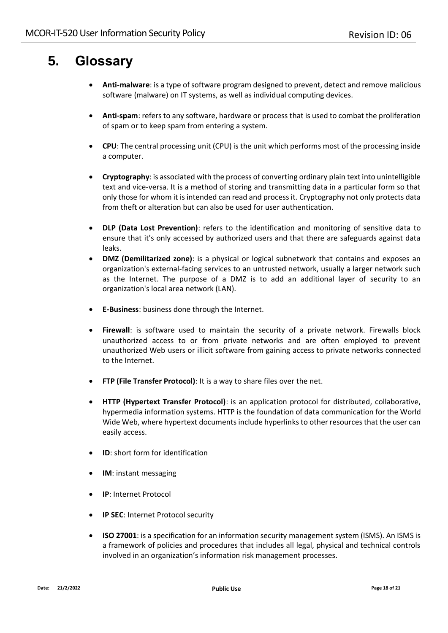## <span id="page-17-0"></span>**5. Glossary**

- **Anti-malware**: is a type of software program designed to prevent, detect and remove malicious software (malware) on IT systems, as well as individual computing devices.
- **Anti-spam**: refers to any software, hardware or process that is used to combat the proliferation of spam or to keep spam from entering a system.
- **CPU**: The central processing unit (CPU) is the unit which performs most of the processing inside a computer.
- **Cryptography**: is associated with the process of converting ordinary plain text into unintelligible text and vice-versa. It is a method of storing and transmitting data in a particular form so that only those for whom it is intended can read and process it. Cryptography not only protects data from theft or alteration but can also be used for user authentication.
- **DLP (Data Lost Prevention)**: refers to the identification and monitoring of sensitive data to ensure that it's only accessed by authorized users and that there are safeguards against data leaks.
- **DMZ (Demilitarized zone)**: is a physical or logical subnetwork that contains and exposes an organization's external-facing services to an untrusted network, usually a larger network such as the Internet. The purpose of a DMZ is to add an additional layer of security to an organization's local area network (LAN).
- **E-Business**: business done through the Internet.
- **Firewall**: is software used to maintain the security of a private network. Firewalls block unauthorized access to or from private networks and are often employed to prevent unauthorized Web users or illicit software from gaining access to private networks connected to the Internet.
- **FTP (File Transfer Protocol)**: It is a way to share files over the net.
- **HTTP (Hypertext Transfer Protocol)**: is an application protocol for distributed, collaborative, hypermedia information systems. HTTP is the foundation of data communication for the World Wide Web, where hypertext documents include hyperlinks to other resources that the user can easily access.
- **ID**: short form for identification
- **IM**: instant messaging
- **IP**: Internet Protocol
- **IP SEC**: Internet Protocol security
- **ISO 27001**: is a specification for an information security management system (ISMS). An ISMS is a framework of policies and procedures that includes all legal, physical and technical controls involved in an organization's information risk management processes.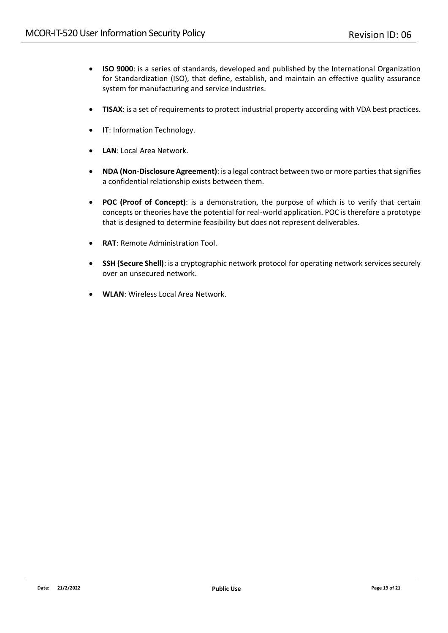- **ISO 9000**: is a series of standards, developed and published by the International Organization for Standardization (ISO), that define, establish, and maintain an effective quality assurance system for manufacturing and service industries.
- **TISAX**: is a set of requirements to protect industrial property according with VDA best practices.
- **IT**: Information Technology.
- **LAN**: Local Area Network.
- **NDA (Non-Disclosure Agreement)**: is a legal contract between two or more parties that signifies a confidential relationship exists between them.
- **POC (Proof of Concept)**: is a demonstration, the purpose of which is to verify that certain concepts or theories have the potential for real-world application. POC is therefore a prototype that is designed to determine feasibility but does not represent deliverables.
- **RAT**: Remote Administration Tool.
- **SSH (Secure Shell)**: is a cryptographic network protocol for operating network services securely over an unsecured network.
- **WLAN**: Wireless Local Area Network.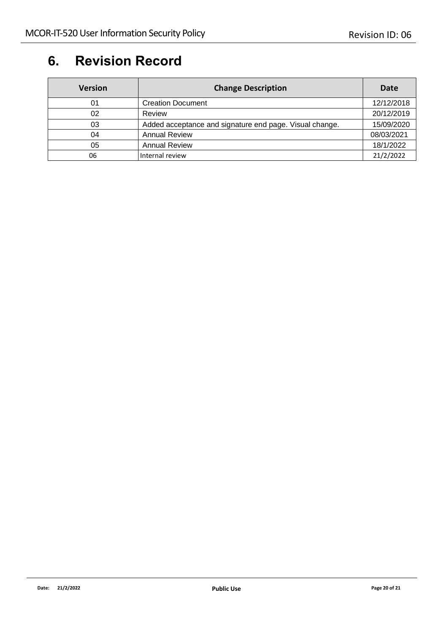## <span id="page-19-0"></span>**6. Revision Record**

| <b>Version</b> | <b>Change Description</b>                               | Date       |
|----------------|---------------------------------------------------------|------------|
| 01             | <b>Creation Document</b>                                | 12/12/2018 |
| 02             | Review                                                  | 20/12/2019 |
| 03             | Added acceptance and signature end page. Visual change. | 15/09/2020 |
| 04             | <b>Annual Review</b>                                    | 08/03/2021 |
| 05             | <b>Annual Review</b>                                    | 18/1/2022  |
| 06             | Internal review                                         | 21/2/2022  |